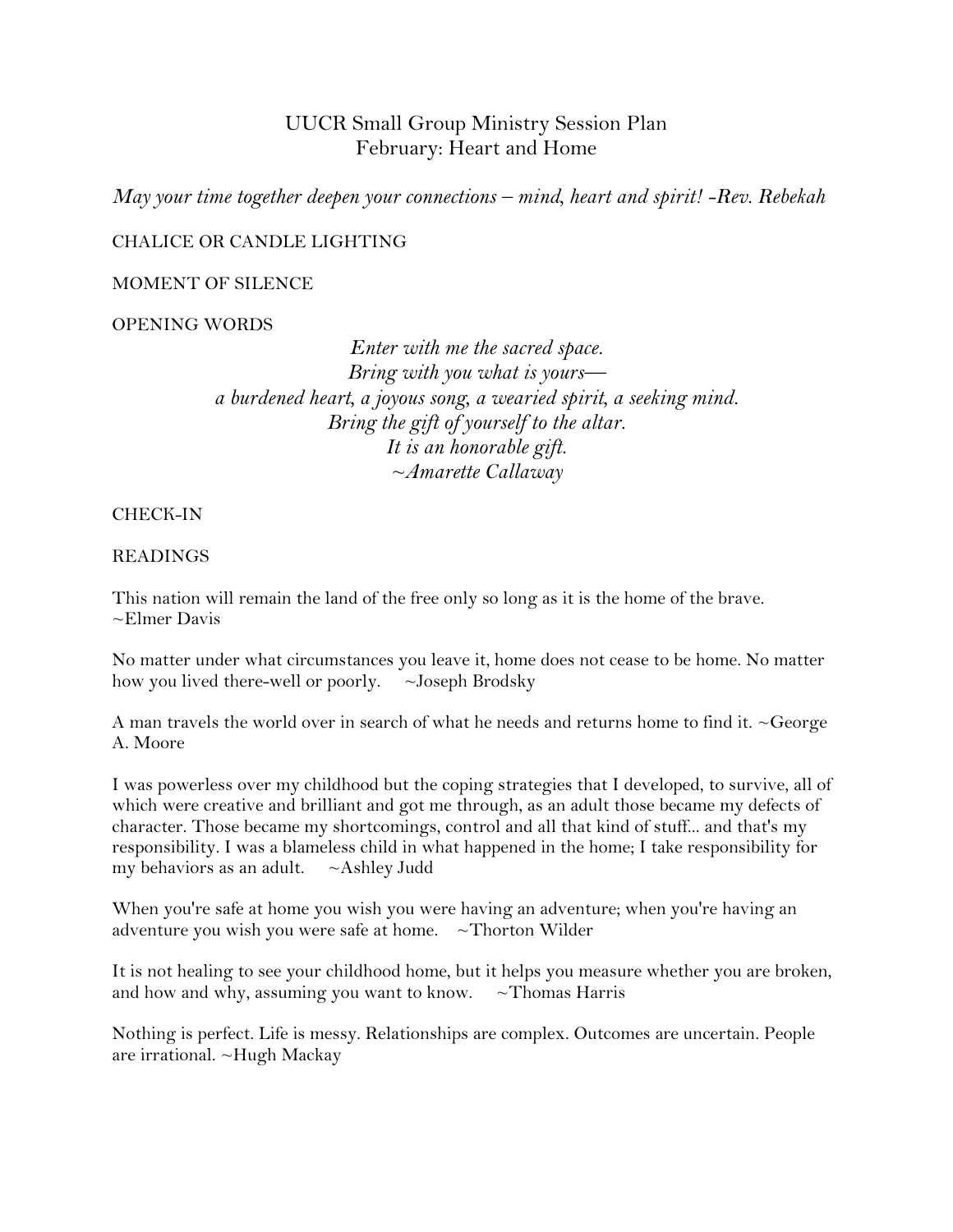# UUCR Small Group Ministry Session Plan February: Heart and Home

*May your time together deepen your connections – mind, heart and spirit! -Rev. Rebekah*

### CHALICE OR CANDLE LIGHTING

#### MOMENT OF SILENCE

OPENING WORDS

*Enter with me the sacred space. Bring with you what is yours a burdened heart, a joyous song, a wearied spirit, a seeking mind. Bring the gift of yourself to the altar. It is an honorable gift. ~Amarette Callaway*

CHECK-IN

#### READINGS

This nation will remain the land of the free only so long as it is the home of the brave. ~Elmer Davis

No matter under what circumstances you leave it, home does not cease to be home. No matter how you lived there-well or poorly.  $\sim$  Joseph Brodsky

A man travels the world over in search of what he needs and returns home to find it. ~George A. Moore

I was powerless over my childhood but the coping strategies that I developed, to survive, all of which were creative and brilliant and got me through, as an adult those became my defects of character. Those became my shortcomings, control and all that kind of stuff... and that's my responsibility. I was a blameless child in what happened in the home; I take responsibility for my behaviors as an adult.  $~\sim$ Ashley Judd

When you're safe at home you wish you were having an adventure; when you're having an adventure you wish you were safe at home. ~Thorton Wilder

It is not healing to see your childhood home, but it helps you measure whether you are broken, and how and why, assuming you want to know.  $\sim$  Thomas Harris

Nothing is perfect. Life is messy. Relationships are complex. Outcomes are uncertain. People are irrational. ~Hugh Mackay